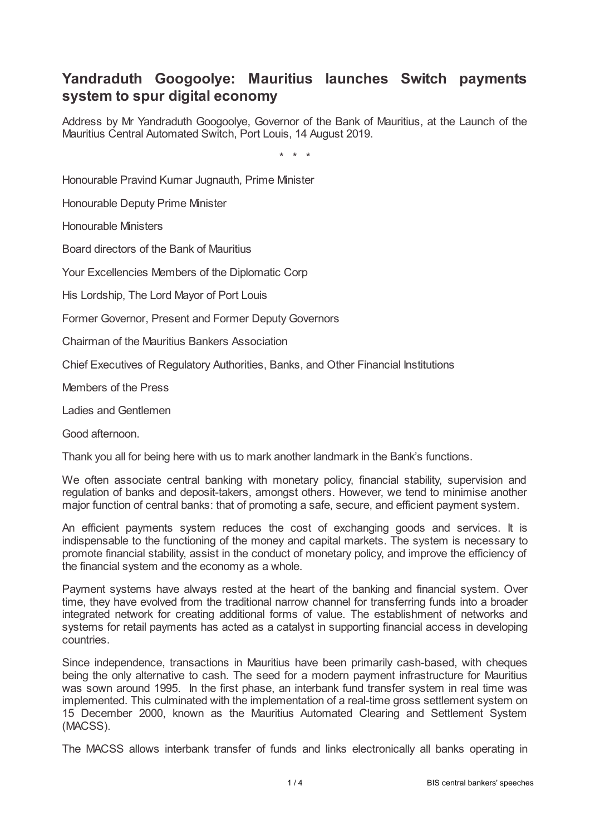## **Yandraduth Googoolye: Mauritius launches Switch payments system to spur digital economy**

Address by Mr Yandraduth Googoolye, Governor of the Bank of Mauritius, at the Launch of the Mauritius Central Automated Switch, Port Louis, 14 August 2019.

\* \* \*

Honourable Pravind Kumar Jugnauth, Prime Minister

Honourable Deputy Prime Minister

Honourable Ministers

Board directors of the Bank of Mauritius

Your Excellencies Members of the Diplomatic Corp

His Lordship, The Lord Mayor of Port Louis

Former Governor, Present and Former Deputy Governors

Chairman of the Mauritius Bankers Association

Chief Executives of Regulatory Authorities, Banks, and Other Financial Institutions

Members of the Press

Ladies and Gentlemen

Good afternoon.

Thank you all for being here with us to mark another landmark in the Bank's functions.

We often associate central banking with monetary policy, financial stability, supervision and regulation of banks and deposit-takers, amongst others. However, we tend to minimise another major function of central banks: that of promoting a safe, secure, and efficient payment system.

An efficient payments system reduces the cost of exchanging goods and services. It is indispensable to the functioning of the money and capital markets. The system is necessary to promote financial stability, assist in the conduct of monetary policy, and improve the efficiency of the financial system and the economy as a whole.

Payment systems have always rested at the heart of the banking and financial system. Over time, they have evolved from the traditional narrow channel for transferring funds into a broader integrated network for creating additional forms of value. The establishment of networks and systems for retail payments has acted as a catalyst in supporting financial access in developing countries.

Since independence, transactions in Mauritius have been primarily cash-based, with cheques being the only alternative to cash. The seed for a modern payment infrastructure for Mauritius was sown around 1995. In the first phase, an interbank fund transfer system in real time was implemented. This culminated with the implementation of a real-time gross settlement system on 15 December 2000, known as the Mauritius Automated Clearing and Settlement System (MACSS).

The MACSS allows interbank transfer of funds and links electronically all banks operating in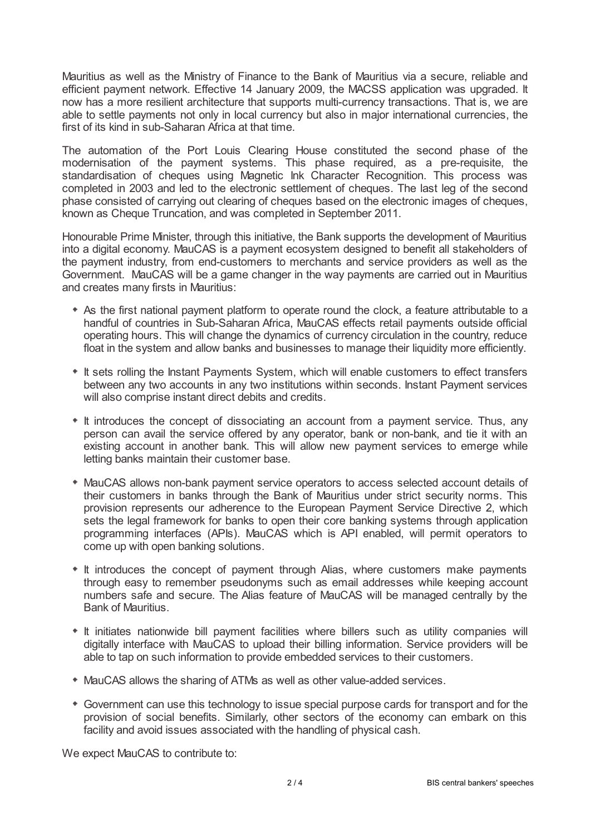Mauritius as well as the Ministry of Finance to the Bank of Mauritius via a secure, reliable and efficient payment network. Effective 14 January 2009, the MACSS application was upgraded. It now has a more resilient architecture that supports multi-currency transactions. That is, we are able to settle payments not only in local currency but also in major international currencies, the first of its kind in sub-Saharan Africa at that time.

The automation of the Port Louis Clearing House constituted the second phase of the modernisation of the payment systems. This phase required, as a pre-requisite, the standardisation of cheques using Magnetic Ink Character Recognition. This process was completed in 2003 and led to the electronic settlement of cheques. The last leg of the second phase consisted of carrying out clearing of cheques based on the electronic images of cheques, known as Cheque Truncation, and was completed in September 2011.

Honourable Prime Minister, through this initiative, the Bank supports the development of Mauritius into a digital economy. MauCAS is a payment ecosystem designed to benefit all stakeholders of the payment industry, from end-customers to merchants and service providers as well as the Government. MauCAS will be a game changer in the way payments are carried out in Mauritius and creates many firsts in Mauritius:

- As the first national payment platform to operate round the clock, a feature attributable to a handful of countries in Sub-Saharan Africa, MauCAS effects retail payments outside official operating hours. This will change the dynamics of currency circulation in the country, reduce float in the system and allow banks and businesses to manage their liquidity more efficiently.
- $*$  It sets rolling the Instant Payments System, which will enable customers to effect transfers between any two accounts in any two institutions within seconds. Instant Payment services will also comprise instant direct debits and credits.
- It introduces the concept of dissociating an account from a payment service. Thus, any person can avail the service offered by any operator, bank or non-bank, and tie it with an existing account in another bank. This will allow new payment services to emerge while letting banks maintain their customer base.
- MauCAS allows non-bank payment service operators to access selected account details of their customers in banks through the Bank of Mauritius under strict security norms. This provision represents our adherence to the European Payment Service Directive 2, which sets the legal framework for banks to open their core banking systems through application programming interfaces (APIs). MauCAS which is API enabled, will permit operators to come up with open banking solutions.
- It introduces the concept of payment through Alias, where customers make payments through easy to remember pseudonyms such as email addresses while keeping account numbers safe and secure. The Alias feature of MauCAS will be managed centrally by the Bank of Mauritius.
- \* It initiates nationwide bill payment facilities where billers such as utility companies will digitally interface with MauCAS to upload their billing information. Service providers will be able to tap on such information to provide embedded services to their customers.
- MauCAS allows the sharing of ATMs as well as other value-added services.
- Government can use this technology to issue special purpose cards for transport and for the provision of social benefits. Similarly, other sectors of the economy can embark on this facility and avoid issues associated with the handling of physical cash.

We expect MauCAS to contribute to: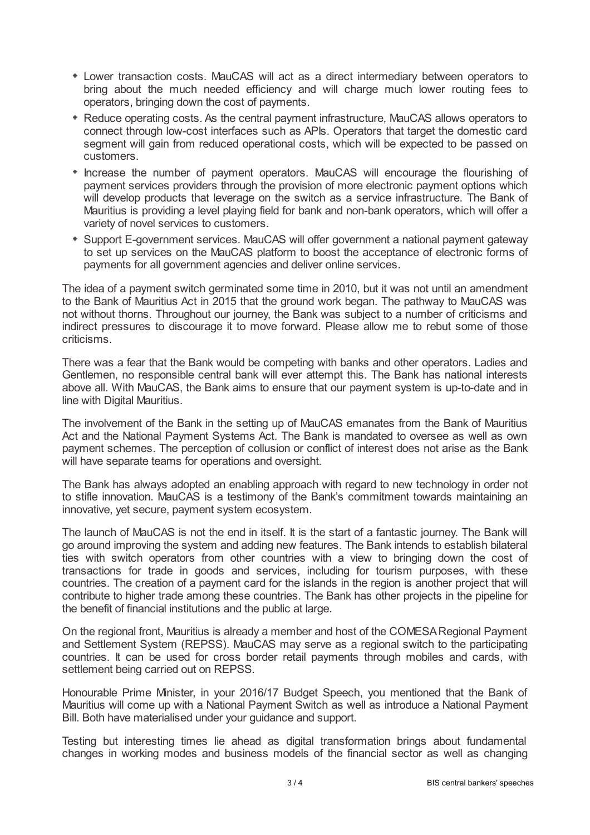- Lower transaction costs. MauCAS will act as a direct intermediary between operators to bring about the much needed efficiency and will charge much lower routing fees to operators, bringing down the cost of payments.
- Reduce operating costs. As the central payment infrastructure, MauCAS allows operators to connect through low-cost interfaces such as APIs. Operators that target the domestic card segment will gain from reduced operational costs, which will be expected to be passed on customers.
- Increase the number of payment operators. MauCAS will encourage the flourishing of payment services providers through the provision of more electronic payment options which will develop products that leverage on the switch as a service infrastructure. The Bank of Mauritius is providing a level playing field for bank and non-bank operators, which will offer a variety of novel services to customers.
- Support E-government services. MauCAS will offer government a national payment gateway to set up services on the MauCAS platform to boost the acceptance of electronic forms of payments for all government agencies and deliver online services.

The idea of a payment switch germinated some time in 2010, but it was not until an amendment to the Bank of Mauritius Act in 2015 that the ground work began. The pathway to MauCAS was not without thorns. Throughout our journey, the Bank was subject to a number of criticisms and indirect pressures to discourage it to move forward. Please allow me to rebut some of those criticisms.

There was a fear that the Bank would be competing with banks and other operators. Ladies and Gentlemen, no responsible central bank will ever attempt this. The Bank has national interests above all. With MauCAS, the Bank aims to ensure that our payment system is up-to-date and in line with Digital Mauritius.

The involvement of the Bank in the setting up of MauCAS emanates from the Bank of Mauritius Act and the National Payment Systems Act. The Bank is mandated to oversee as well as own payment schemes. The perception of collusion or conflict of interest does not arise as the Bank will have separate teams for operations and oversight.

The Bank has always adopted an enabling approach with regard to new technology in order not to stifle innovation. MauCAS is a testimony of the Bank's commitment towards maintaining an innovative, yet secure, payment system ecosystem.

The launch of MauCAS is not the end in itself. It is the start of a fantastic journey. The Bank will go around improving the system and adding new features. The Bank intends to establish bilateral ties with switch operators from other countries with a view to bringing down the cost of transactions for trade in goods and services, including for tourism purposes, with these countries. The creation of a payment card for the islands in the region is another project that will contribute to higher trade among these countries. The Bank has other projects in the pipeline for the benefit of financial institutions and the public at large.

On the regional front, Mauritius is already a member and host of the COMESARegional Payment and Settlement System (REPSS). MauCAS may serve as a regional switch to the participating countries. It can be used for cross border retail payments through mobiles and cards, with settlement being carried out on REPSS.

Honourable Prime Minister, in your 2016/17 Budget Speech, you mentioned that the Bank of Mauritius will come up with a National Payment Switch as well as introduce a National Payment Bill. Both have materialised under your guidance and support.

Testing but interesting times lie ahead as digital transformation brings about fundamental changes in working modes and business models of the financial sector as well as changing